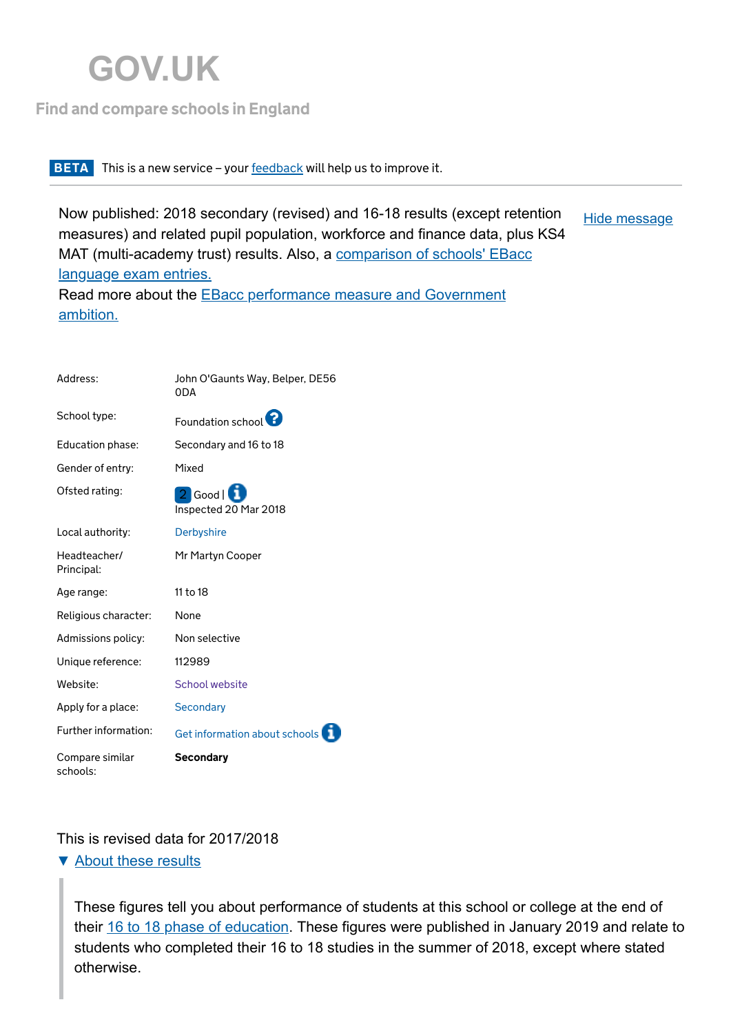# **[GOV.UK](http://www.gov.uk/)**

### [Find and compare schools in England](https://www.gov.uk/school-performance-tables)

#### **BETA** This is a new service – your [feedback](http://www.smartsurvey.co.uk/s/0ZXTZ/) will help us to improve it.

Now published: 2018 secondary (revised) and 16-18 results (except retention measures) and related pupil population, workforce and finance data, plus KS4 [MAT \(multi-academy trust\) results. Also, a comparison of schools' EBacc](https://www.gov.uk/government/publications/list-of-schools-by-ebacc-language-entry) language exam entries. Hide [message](javascript:)

<u>Bellouidh.</u><br>Bellouidhean [Read more about the EBacc performance measure and Government](https://www.gov.uk/government/publications/english-baccalaureate-ebacc/english-baccalaureate-ebacc) ambition.

| Address:                    | John O'Gaunts Way, Belper, DE56<br>0DA |
|-----------------------------|----------------------------------------|
| School type:                | Foundation school <sup>1</sup>         |
| Education phase:            | Secondary and 16 to 18                 |
| Gender of entry:            | Mixed                                  |
| Ofsted rating:              | 2 Good   1<br>Inspected 20 Mar 2018    |
| Local authority:            | <b>Derbyshire</b>                      |
| Headteacher/<br>Principal:  | Mr Martyn Cooper                       |
| Age range:                  | 11 to 18                               |
| Religious character:        | None                                   |
| Admissions policy:          | Non selective                          |
| Unique reference:           | 112989                                 |
| Website:                    | School website                         |
| Apply for a place:          | Secondary                              |
| Further information:        | Get information about schools          |
| Compare similar<br>schools: | <b>Secondary</b>                       |

### This is revised data for 2017/2018

▼ [About these results](javascript:)

These figures tell you about performance of students at this school or college at the end of their 16 to 18 phase of education. These figures were published in January 2019 and relate to students who completed their 16 to 18 studies in the summer of 2018, except where stated otherwise.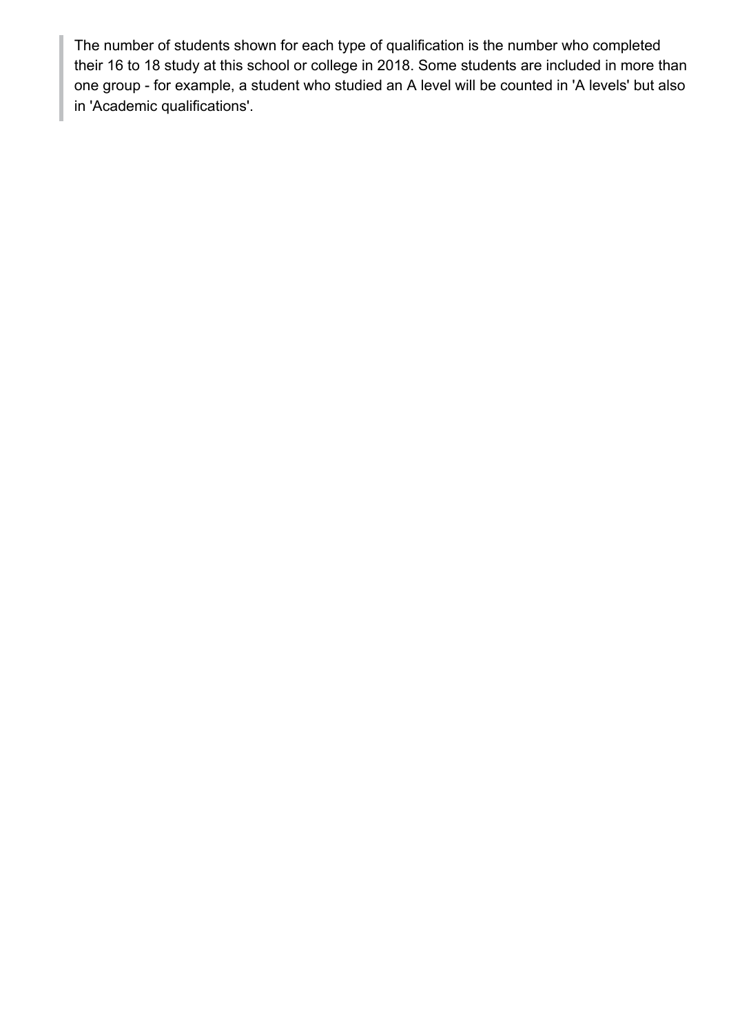The number of students shown for each type of qualification is the number who completed their 16 to 18 study at this school or college in 2018. Some students are included in more than one group - for example, a student who studied an A level will be counted in 'A levels' but also in 'Academic qualifications'.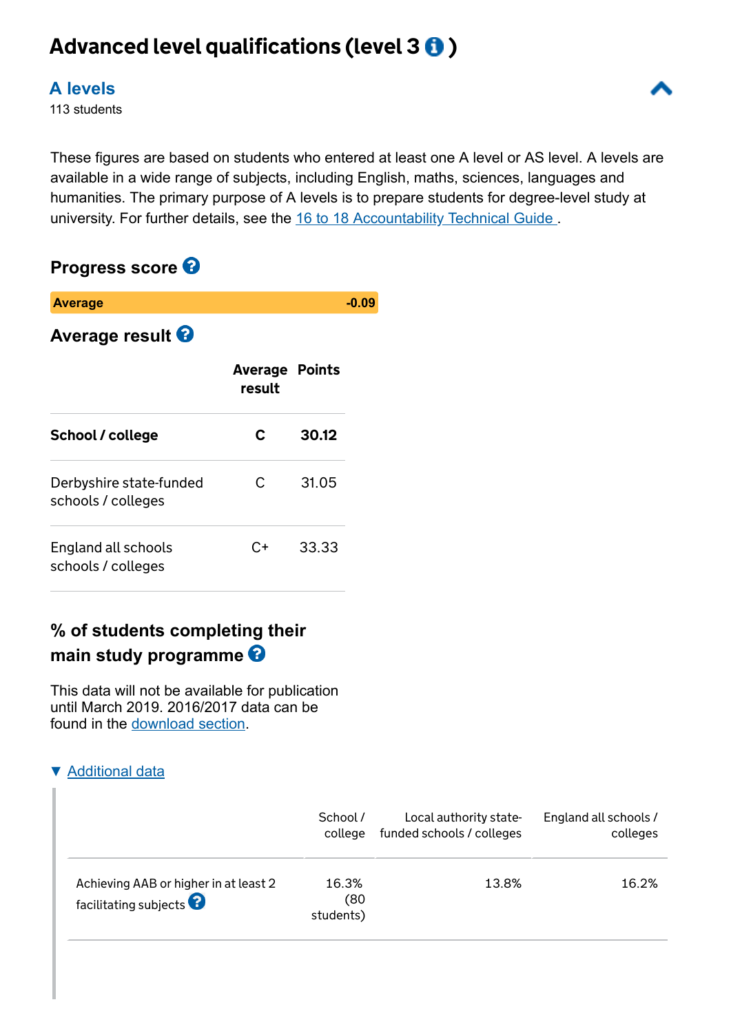# Advanced level qualifications (level  $30$ )

### **[A levels](javascript:)**

113 students

These figures are based on students who entered at least one A level or AS level. A levels are available in a wide range of subjects, including English, maths, sciences, languages and humanities. The primary purpose of A levels is to prepare students for degree-level study at university. For further details, see the 16 to 18 Accountability Technical Guide.

### **Progress score**

| <b>Average</b>                                |                                 |       | -0.09 |
|-----------------------------------------------|---------------------------------|-------|-------|
| <b>Average result 8</b>                       |                                 |       |       |
|                                               | <b>Average Points</b><br>result |       |       |
| School / college                              | C.                              | 30.12 |       |
| Derbyshire state-funded<br>schools / colleges | C.                              | 31.05 |       |
| England all schools<br>schools / colleges     | C+                              | 33.33 |       |

# **% of students completing their main study programme**

This data will not be available for publication until March 2019. 2016/2017 data can be found in the [download section.](https://www.compare-school-performance.service.gov.uk/download-data)

### **[Additional data](javascript:)**

|                                                                  | School /                   | Local authority state-    | England all schools / |
|------------------------------------------------------------------|----------------------------|---------------------------|-----------------------|
|                                                                  | college                    | funded schools / colleges | colleges              |
| Achieving AAB or higher in at least 2<br>facilitating subjects ? | 16.3%<br>(80)<br>students) | 13.8%                     | 16.2%                 |

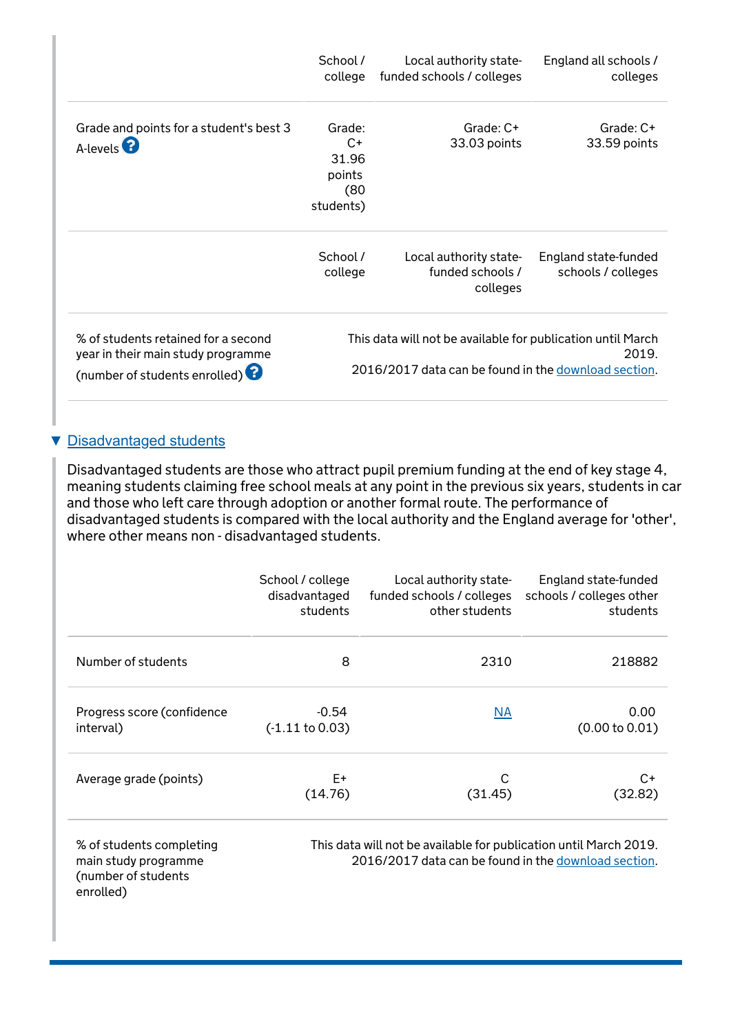|                                                                                                                      | School /<br>college                                    | Local authority state-<br>funded schools / colleges                                                                 | England all schools /<br>colleges          |
|----------------------------------------------------------------------------------------------------------------------|--------------------------------------------------------|---------------------------------------------------------------------------------------------------------------------|--------------------------------------------|
| Grade and points for a student's best 3<br>A-levels <sup>2</sup>                                                     | Grade:<br>$C+$<br>31.96<br>points<br>(80)<br>students) | Grade: C+<br>33.03 points                                                                                           | Grade: C+<br>33.59 points                  |
|                                                                                                                      | School /<br>college                                    | Local authority state-<br>funded schools /<br>colleges                                                              | England state-funded<br>schools / colleges |
| % of students retained for a second<br>year in their main study programme<br>(number of students enrolled) $\bullet$ |                                                        | This data will not be available for publication until March<br>2016/2017 data can be found in the download section. | 2019.                                      |

### ▼ [Disadvantaged students](javascript:)

enrolled)

Disadvantaged students are those who attract pupil premium funding at the end of key stage 4, meaning students claiming free school meals at any point in the previous six years, students in car and those who left care through adoption or another formal route. The performance of disadvantaged students is compared with the local authority and the England average for 'other', where other means non - disadvantaged students.

|                                                                         | School / college           | Local authority state-                                                                                                    | England state-funded     |
|-------------------------------------------------------------------------|----------------------------|---------------------------------------------------------------------------------------------------------------------------|--------------------------|
|                                                                         | disadvantaged              | funded schools / colleges                                                                                                 | schools / colleges other |
|                                                                         | students                   | other students                                                                                                            | students                 |
| Number of students                                                      | 8                          | 2310                                                                                                                      | 218882                   |
| Progress score (confidence                                              | $-0.54$                    | $\overline{\mathsf{NA}}$                                                                                                  | 0.00                     |
| interval)                                                               | $(-1.11 \text{ to } 0.03)$ |                                                                                                                           | (0.00 to 0.01)           |
| Average grade (points)                                                  | E+                         | C                                                                                                                         | C+                       |
|                                                                         | (14.76)                    | (31.45)                                                                                                                   | (32.82)                  |
| % of students completing<br>main study programme<br>(number of students |                            | This data will not be available for publication until March 2019.<br>2016/2017 data can be found in the download section. |                          |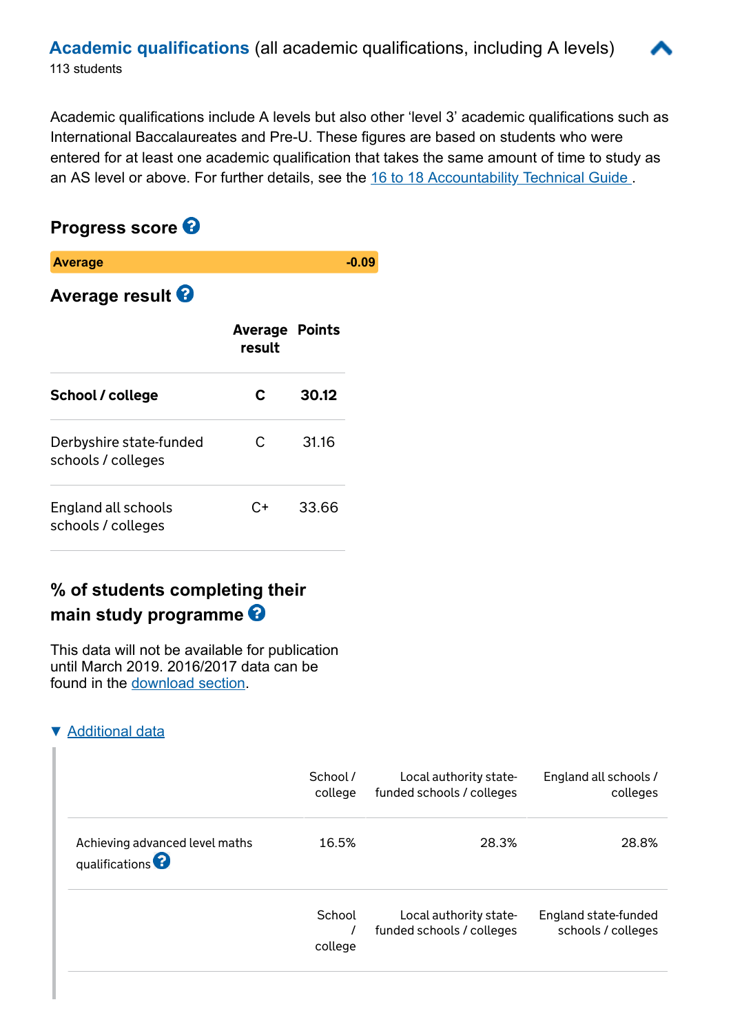Academic qualifications include A levels but also other 'level 3' academic qualifications such as International Baccalaureates and Pre-U. These figures are based on students who were entered for at least one academic qualification that takes the same amount of time to study as an AS level or above. For further details, see the 16 to 18 Accountability Technical Guide.

# **Progress score**

| <b>Average</b>                                |                                 |       |  |
|-----------------------------------------------|---------------------------------|-------|--|
| <b>Average result 8</b>                       |                                 |       |  |
|                                               | <b>Average Points</b><br>result |       |  |
| School / college                              | C                               | 30.12 |  |
| Derbyshire state-funded<br>schools / colleges | C                               | 31.16 |  |
| England all schools<br>schools / colleges     | C+                              | 33.66 |  |

# **% of students completing their main study programme**

This data will not be available for publication until March 2019. 2016/2017 data can be found in the [download section.](https://www.compare-school-performance.service.gov.uk/download-data)

### ▼ [Additional data](javascript:)

|                                                            | School / | Local authority state-    | England all schools / |
|------------------------------------------------------------|----------|---------------------------|-----------------------|
|                                                            | college  | funded schools / colleges | colleges              |
| Achieving advanced level maths<br>qualifications $\bullet$ | 16.5%    | 28.3%                     | 28.8%                 |
|                                                            | School   | Local authority state-    | England state-funded  |
|                                                            | college  | funded schools / colleges | schools / colleges    |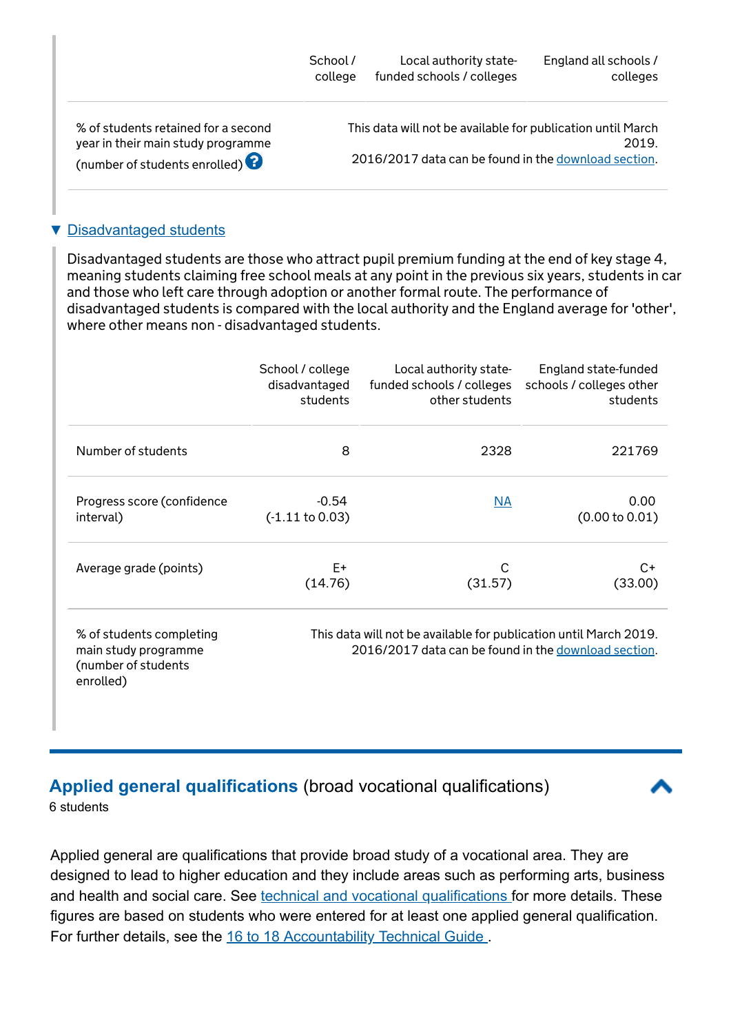|                                                                                                            | School / | Local authority state-                                                                                              | England all schools / |
|------------------------------------------------------------------------------------------------------------|----------|---------------------------------------------------------------------------------------------------------------------|-----------------------|
|                                                                                                            | college  | funded schools / colleges                                                                                           | colleges              |
| % of students retained for a second<br>year in their main study programme<br>(number of students enrolled) |          | This data will not be available for publication until March<br>2016/2017 data can be found in the download section. | 2019.                 |

#### ▼ [Disadvantaged students](javascript:)

Disadvantaged students are those who attract pupil premium funding at the end of key stage 4, meaning students claiming free school meals at any point in the previous six years, students in car and those who left care through adoption or another formal route. The performance of disadvantaged students is compared with the local authority and the England average for 'other', where other means non - disadvantaged students.

|                                                                                      | School / college           | Local authority state-                                                                                                    | England state-funded     |
|--------------------------------------------------------------------------------------|----------------------------|---------------------------------------------------------------------------------------------------------------------------|--------------------------|
|                                                                                      | disadvantaged              | funded schools / colleges                                                                                                 | schools / colleges other |
|                                                                                      | students                   | other students                                                                                                            | students                 |
| Number of students                                                                   | 8                          | 2328                                                                                                                      | 221769                   |
| Progress score (confidence                                                           | $-0.54$                    | NA                                                                                                                        | 0.00                     |
| interval)                                                                            | $(-1.11 \text{ to } 0.03)$ |                                                                                                                           | (0.00 to 0.01)           |
| Average grade (points)                                                               | E+                         | С                                                                                                                         | C+                       |
|                                                                                      | (14.76)                    | (31.57)                                                                                                                   | (33.00)                  |
| % of students completing<br>main study programme<br>(number of students<br>enrolled) |                            | This data will not be available for publication until March 2019.<br>2016/2017 data can be found in the download section. |                          |

### **[Applied general qualifications](javascript:)** (broad vocational qualifications)

6 students

Applied general are qualifications that provide broad study of a vocational area. They are designed to lead to higher education and they include areas such as performing arts, business and health and social care. See [technical and vocational qualifications f](https://www.gov.uk/government/publications/2018-performance-tables-technical-and-vocational-qualifications)or more details. These figures are based on students who were entered for at least one applied general qualification. For further details, see the 16 to 18 Accountability Technical Guide.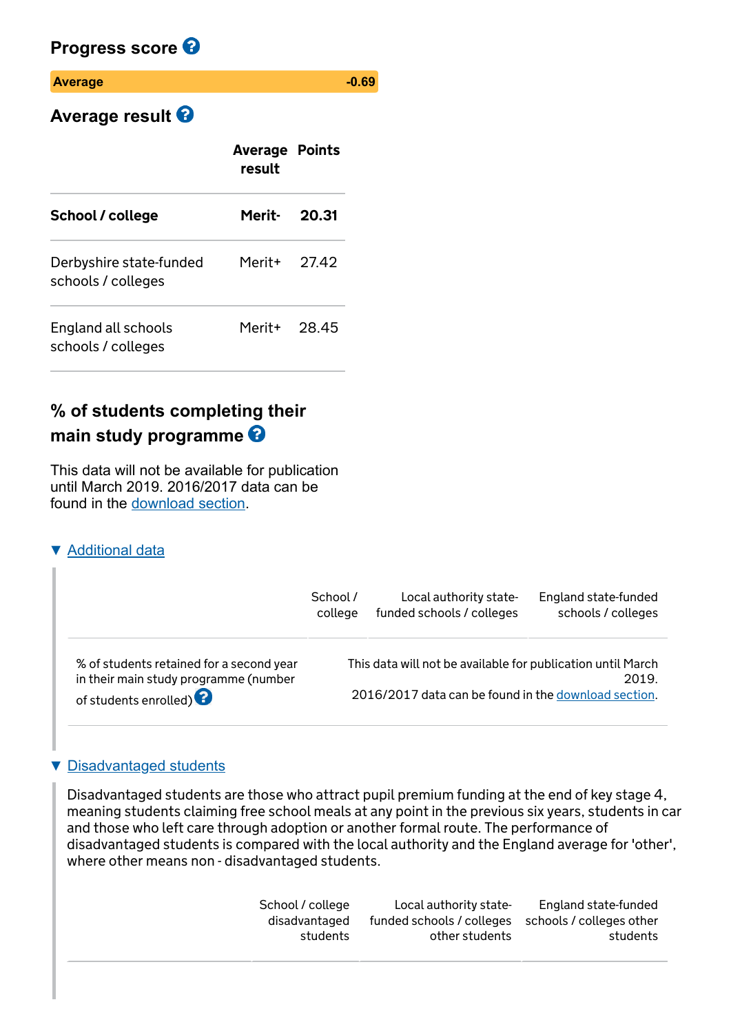### **Progress score**

#### **Average 30.69 -0.69**

# **Average result**

|                                               | <b>Average Points</b><br>result |       |
|-----------------------------------------------|---------------------------------|-------|
| School / college                              | Merit- 20.31                    |       |
| Derbyshire state-funded<br>schools / colleges | Merit+                          | 27.42 |
| England all schools<br>schools / colleges     | Merit+ 28.45                    |       |

# **% of students completing their main study programme**

This data will not be available for publication until March 2019. 2016/2017 data can be found in the [download section.](https://www.compare-school-performance.service.gov.uk/download-data)

### **[Additional data](javascript:)**

|                                                                                                                      | School / | Local authority state-                                                                                              | England state-funded |
|----------------------------------------------------------------------------------------------------------------------|----------|---------------------------------------------------------------------------------------------------------------------|----------------------|
|                                                                                                                      | college  | funded schools / colleges                                                                                           | schools / colleges   |
| % of students retained for a second year<br>in their main study programme (number<br>of students enrolled) $\bullet$ |          | This data will not be available for publication until March<br>2016/2017 data can be found in the download section. | 2019.                |

### **[Disadvantaged students](javascript:)**

Disadvantaged students are those who attract pupil premium funding at the end of key stage 4, meaning students claiming free school meals at any point in the previous six years, students in car and those who left care through adoption or another formal route. The performance of disadvantaged students is compared with the local authority and the England average for 'other', where other means non - disadvantaged students.

| School / college<br>disadvantaged | Local authority state-<br>funded schools / colleges schools / colleges other | England state-funded |
|-----------------------------------|------------------------------------------------------------------------------|----------------------|
| students                          | other students                                                               | students             |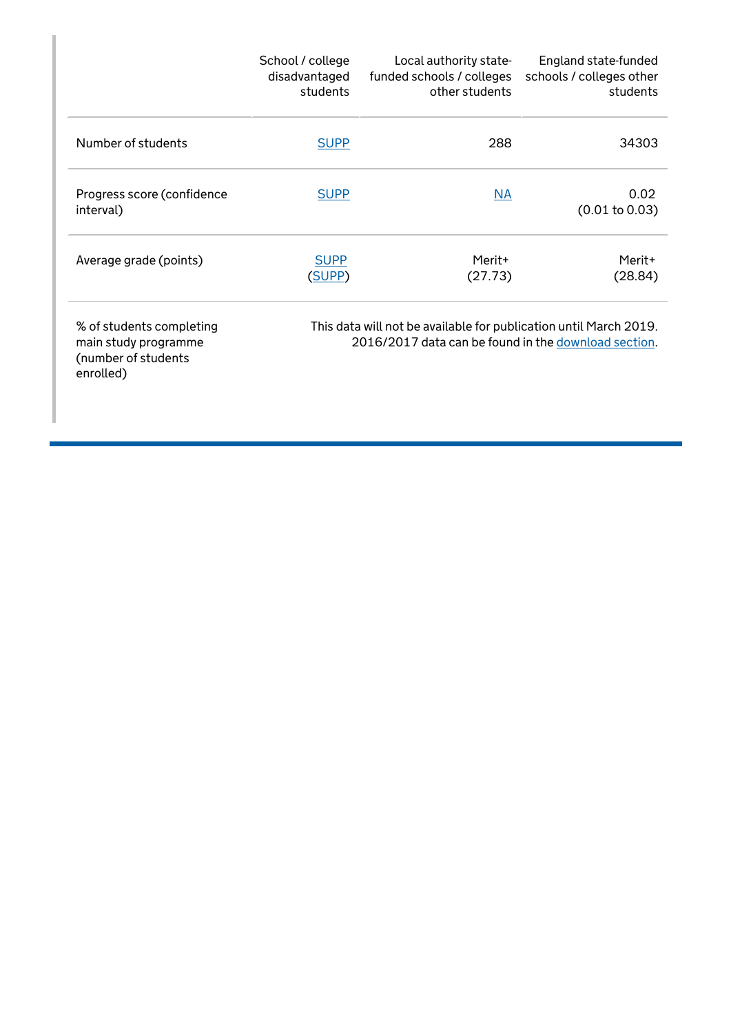|                                                                                      | School / college<br>disadvantaged<br>students | Local authority state-<br>funded schools / colleges<br>other students                                                     | England state-funded<br>schools / colleges other<br>students |
|--------------------------------------------------------------------------------------|-----------------------------------------------|---------------------------------------------------------------------------------------------------------------------------|--------------------------------------------------------------|
| Number of students                                                                   | <b>SUPP</b>                                   | 288                                                                                                                       | 34303                                                        |
| Progress score (confidence<br>interval)                                              | <b>SUPP</b>                                   | NA                                                                                                                        | 0.02<br>(0.01 to 0.03)                                       |
| Average grade (points)                                                               | <b>SUPP</b><br>(SUPP)                         | Merit+<br>(27.73)                                                                                                         | Merit+<br>(28.84)                                            |
| % of students completing<br>main study programme<br>(number of students<br>enrolled) |                                               | This data will not be available for publication until March 2019.<br>2016/2017 data can be found in the download section. |                                                              |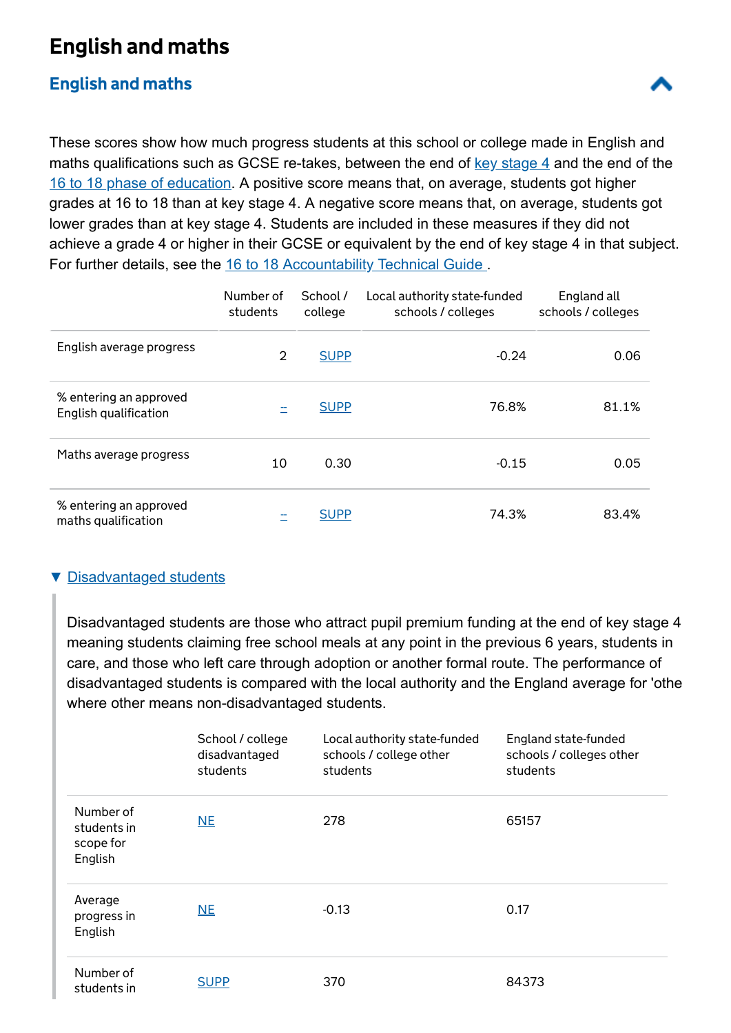# English and maths

### [English and maths](javascript:)

These scores show how much progress students at this school or college made in English and maths qualifications such as GCSE re-takes, between the end of  $key$  stage  $4$  and the end of the 16 to 18 phase of education. A positive score means that, on average, students got higher grades at 16 to 18 than at key stage 4. A negative score means that, on average, students got lower grades than at key stage 4. Students are included in these measures if they did not achieve a grade 4 or higher in their GCSE or equivalent by the end of key stage 4 in that subject. For further details, see the 16 to 18 Accountability Technical Guide.

|                                                 | Number of<br>students | School /<br>college | Local authority state-funded<br>schools / colleges | England all<br>schools / colleges |
|-------------------------------------------------|-----------------------|---------------------|----------------------------------------------------|-----------------------------------|
| English average progress                        | $\overline{2}$        | <b>SUPP</b>         | $-0.24$                                            | 0.06                              |
| % entering an approved<br>English qualification |                       | <b>SUPP</b>         | 76.8%                                              | 81.1%                             |
| Maths average progress                          | 10                    | 0.30                | $-0.15$                                            | 0.05                              |
| % entering an approved<br>maths qualification   |                       | <b>SUPP</b>         | 74.3%                                              | 83.4%                             |

### ▼ [Disadvantaged students](javascript:)

Disadvantaged students are those who attract pupil premium funding at the end of key stage 4 meaning students claiming free school meals at any point in the previous 6 years, students in care, and those who left care through adoption or another formal route. The performance of disadvantaged students is compared with the local authority and the England average for 'othe where other means non-disadvantaged students.

|                                                  | School / college<br>disadvantaged<br>students | Local authority state-funded<br>schools / college other<br>students | England state-funded<br>schools / colleges other<br>students |
|--------------------------------------------------|-----------------------------------------------|---------------------------------------------------------------------|--------------------------------------------------------------|
| Number of<br>students in<br>scope for<br>English | N <sub>E</sub>                                | 278                                                                 | 65157                                                        |
| Average<br>progress in<br>English                | NE                                            | $-0.13$                                                             | 0.17                                                         |
| Number of<br>students in                         | <b>SUPP</b>                                   | 370                                                                 | 84373                                                        |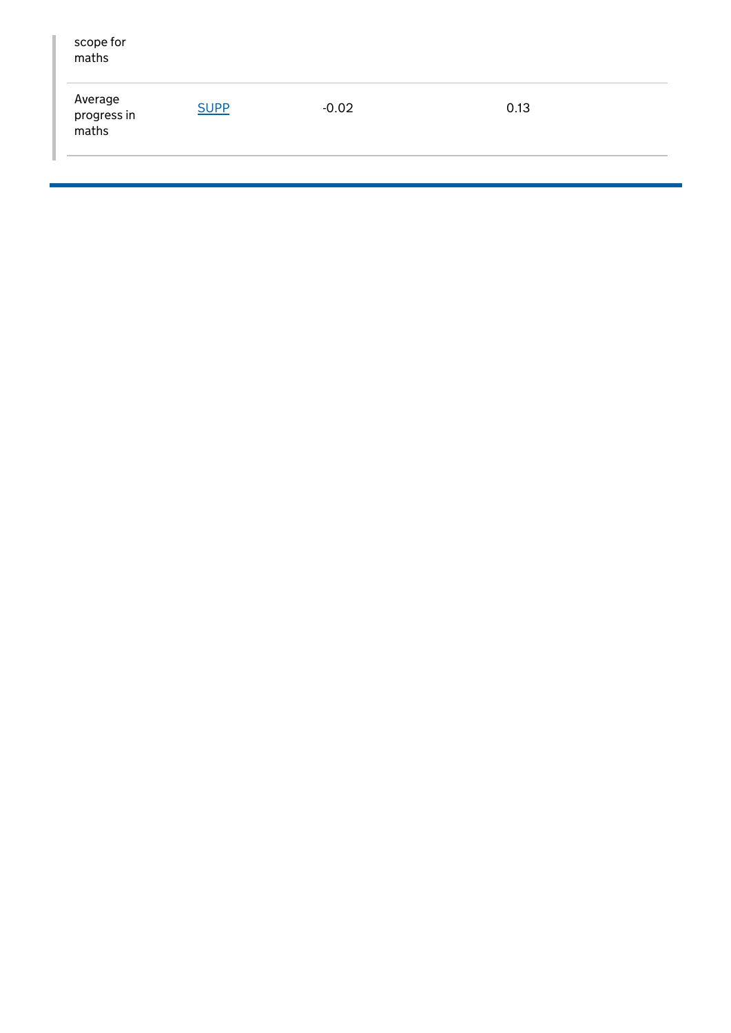| scope for<br>maths              |             |         |      |  |
|---------------------------------|-------------|---------|------|--|
| Average<br>progress in<br>maths | <b>SUPP</b> | $-0.02$ | 0.13 |  |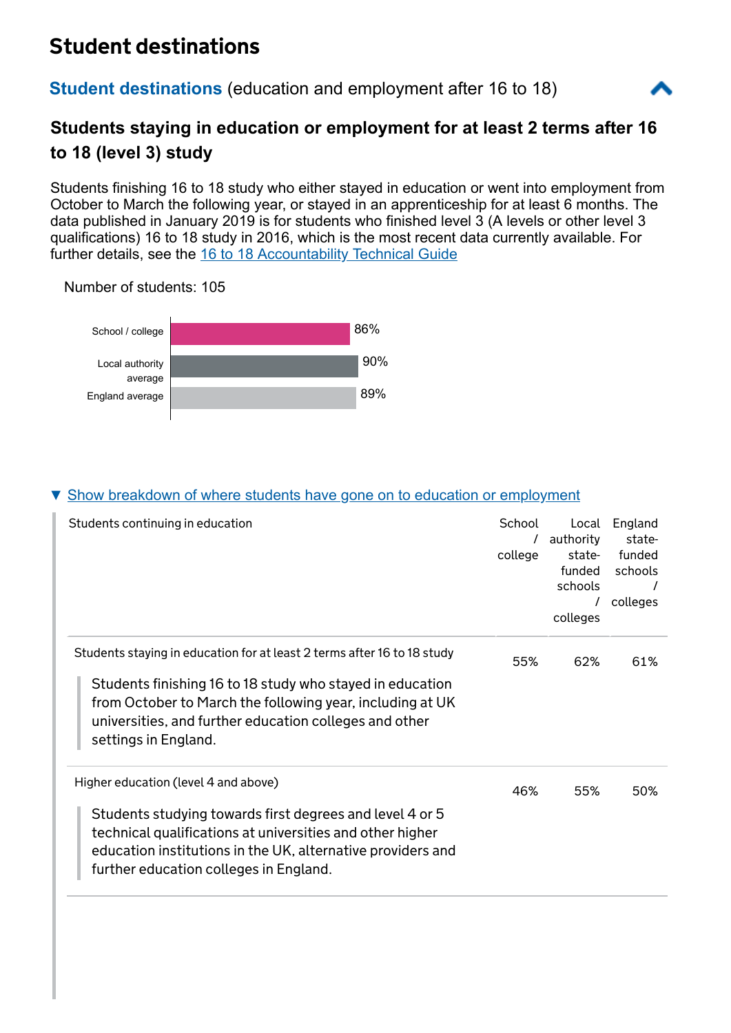# Student destinations

### **Student destinations** [\(education and employment after 16 to 18\)](javascript:)



# **Students staying in education or employment for at least 2 terms after 16 to 18 (level 3) study**

Students finishing 16 to 18 study who either stayed in education or went into employment from October to March the following year, or stayed in an apprenticeship for at least 6 months. The data published in January 2019 is for students who finished level 3 (A levels or other level 3 qualifications) 16 to 18 study in 2016, which is the most recent data currently available. For further details, see the [16 to 18 Accountability Technical Guide](https://www.gov.uk/government/collections/school-performance-tables-about-the-data)

Number of students: 105



### [Show breakdown of where students have gone on to education or employment](javascript:)

| Students continuing in education                                                                                                                                                                                               | School<br>college | Local<br>authority<br>state-<br>funded<br>schools<br>colleges | England<br>state-<br>funded<br>schools<br>colleges |
|--------------------------------------------------------------------------------------------------------------------------------------------------------------------------------------------------------------------------------|-------------------|---------------------------------------------------------------|----------------------------------------------------|
| Students staying in education for at least 2 terms after 16 to 18 study                                                                                                                                                        | 55%               | 62%                                                           | 61%                                                |
| Students finishing 16 to 18 study who stayed in education<br>from October to March the following year, including at UK<br>universities, and further education colleges and other<br>settings in England.                       |                   |                                                               |                                                    |
| Higher education (level 4 and above)                                                                                                                                                                                           | 46%               | 55%                                                           | 50%                                                |
| Students studying towards first degrees and level 4 or 5<br>technical qualifications at universities and other higher<br>education institutions in the UK, alternative providers and<br>further education colleges in England. |                   |                                                               |                                                    |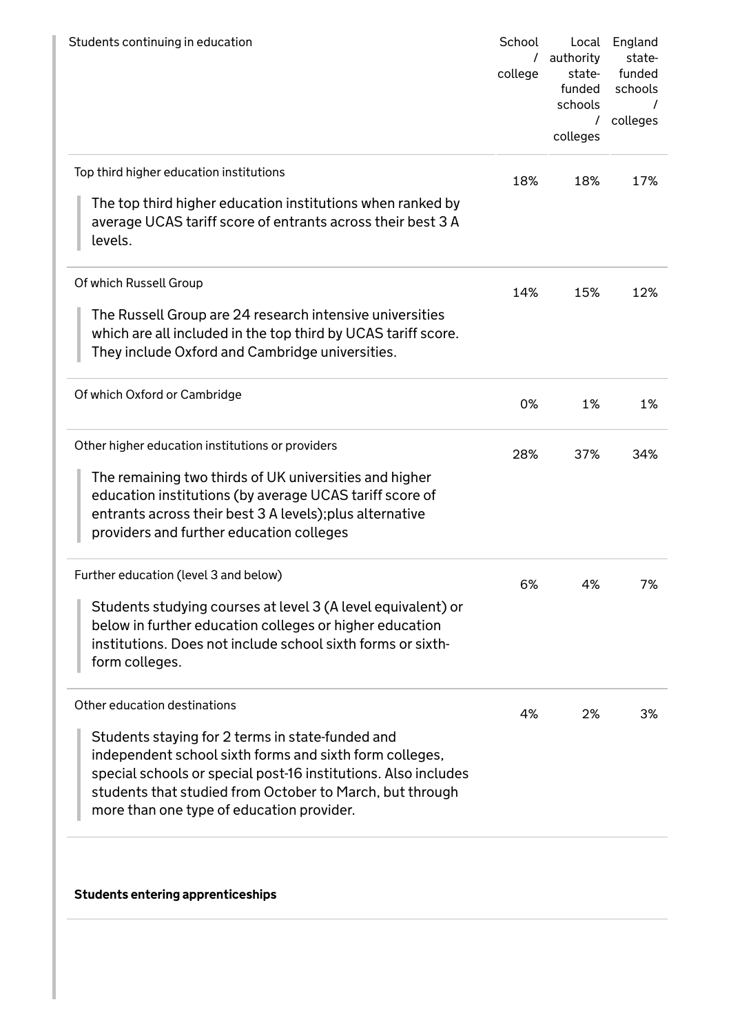| School<br>college | Local<br>authority<br>state-<br>funded<br>schools<br>T<br>colleges | England<br>state-<br>funded<br>schools<br>colleges |
|-------------------|--------------------------------------------------------------------|----------------------------------------------------|
| 18%               | 18%                                                                | 17%                                                |
|                   |                                                                    |                                                    |
| 14%               | 15%                                                                | 12%                                                |
|                   |                                                                    |                                                    |
| 0%                | 1%                                                                 | 1%                                                 |
| 28%               | 37%                                                                | 34%                                                |
|                   |                                                                    |                                                    |
| 6%                | 4%                                                                 | 7%                                                 |
|                   |                                                                    |                                                    |
| 4%                | 2%                                                                 | 3%                                                 |
|                   |                                                                    |                                                    |
|                   |                                                                    |                                                    |

Students entering apprenticeships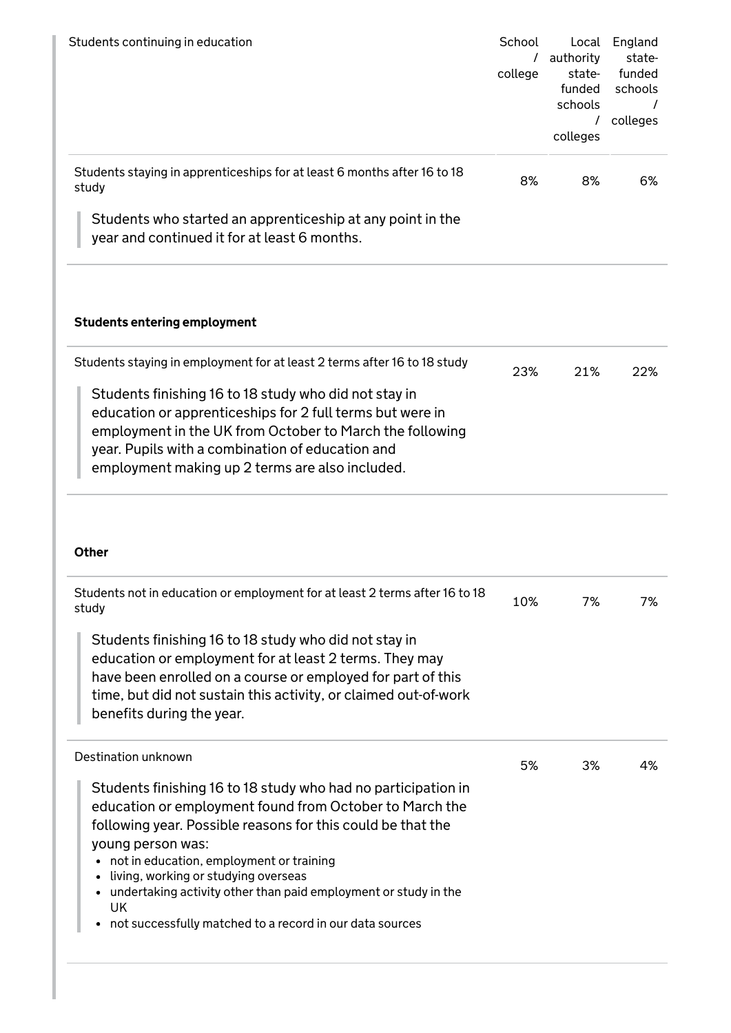| Students continuing in education                                                                                                                                                                                                                                                      | School<br>college | Local<br>authority<br>state-<br>funded<br>schools<br>colleges | England<br>state-<br>funded<br>schools<br>colleges |
|---------------------------------------------------------------------------------------------------------------------------------------------------------------------------------------------------------------------------------------------------------------------------------------|-------------------|---------------------------------------------------------------|----------------------------------------------------|
| Students staying in apprenticeships for at least 6 months after 16 to 18<br>study                                                                                                                                                                                                     | 8%                | 8%                                                            | 6%                                                 |
| Students who started an apprenticeship at any point in the<br>year and continued it for at least 6 months.                                                                                                                                                                            |                   |                                                               |                                                    |
| <b>Students entering employment</b>                                                                                                                                                                                                                                                   |                   |                                                               |                                                    |
| Students staying in employment for at least 2 terms after 16 to 18 study                                                                                                                                                                                                              | 23%               | 21%                                                           | 22%                                                |
| Students finishing 16 to 18 study who did not stay in<br>education or apprenticeships for 2 full terms but were in<br>employment in the UK from October to March the following<br>year. Pupils with a combination of education and<br>employment making up 2 terms are also included. |                   |                                                               |                                                    |

#### Other

| Students not in education or employment for at least 2 terms after 16 to 18<br>study                                                                                                                                                                                                                                                                                                                                                            | 10% | 7% | 7% |
|-------------------------------------------------------------------------------------------------------------------------------------------------------------------------------------------------------------------------------------------------------------------------------------------------------------------------------------------------------------------------------------------------------------------------------------------------|-----|----|----|
| Students finishing 16 to 18 study who did not stay in<br>education or employment for at least 2 terms. They may<br>have been enrolled on a course or employed for part of this<br>time, but did not sustain this activity, or claimed out-of-work<br>benefits during the year.                                                                                                                                                                  |     |    |    |
| Destination unknown                                                                                                                                                                                                                                                                                                                                                                                                                             | 5%  | 3% | 4% |
| Students finishing 16 to 18 study who had no participation in<br>education or employment found from October to March the<br>following year. Possible reasons for this could be that the<br>young person was:<br>not in education, employment or training<br>٠<br>living, working or studying overseas<br>undertaking activity other than paid employment or study in the<br>٠<br>UK<br>not successfully matched to a record in our data sources |     |    |    |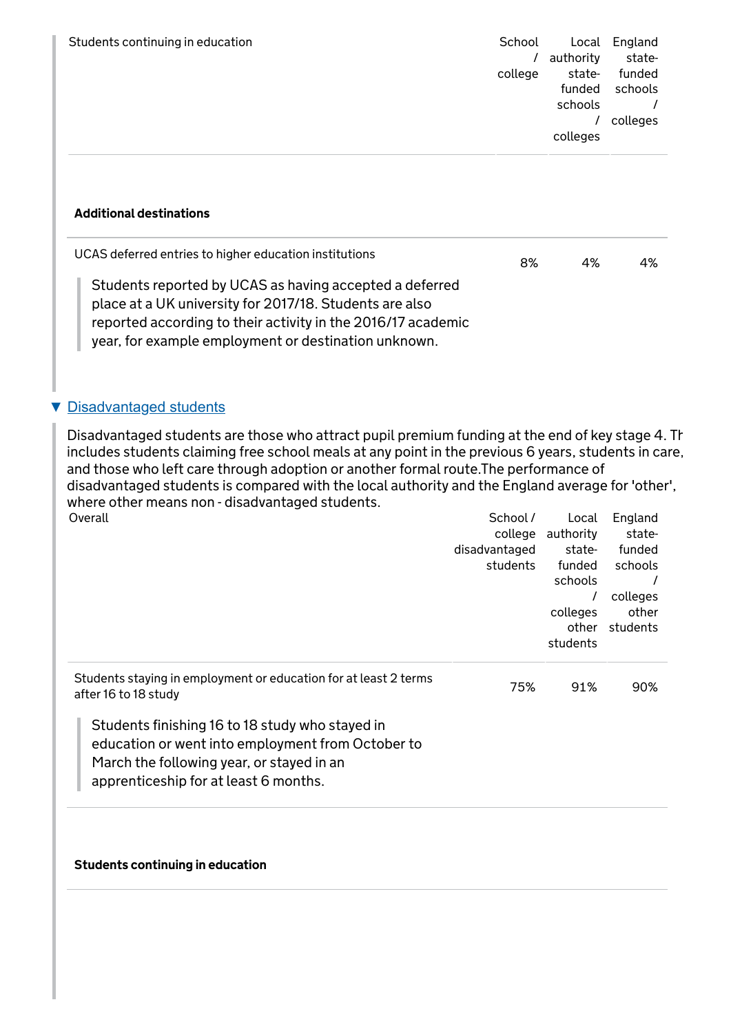| Students continuing in education | School  | Local     | England  |
|----------------------------------|---------|-----------|----------|
|                                  |         | authority | state-   |
|                                  | college | state-    | funded   |
|                                  |         | funded    | schools  |
|                                  |         | schools   |          |
|                                  |         |           | colleges |
|                                  |         | colleges  |          |
|                                  |         |           |          |
|                                  |         |           |          |

#### Additional destinations

| UCAS deferred entries to higher education institutions                                                                                                                                                                                     | 8% | 4% | 4% |
|--------------------------------------------------------------------------------------------------------------------------------------------------------------------------------------------------------------------------------------------|----|----|----|
| Students reported by UCAS as having accepted a deferred<br>place at a UK university for 2017/18. Students are also<br>reported according to their activity in the 2016/17 academic<br>year, for example employment or destination unknown. |    |    |    |

#### ▼ [Disadvantaged students](javascript:)

Disadvantaged students are those who attract pupil premium funding at the end of key stage 4. Th includes students claiming free school meals at any point in the previous 6 years, students in care, and those who left care through adoption or another formal route.The performance of disadvantaged students is compared with the local authority and the England average for 'other', where other means non - disadvantaged students.<br>Overall Overall and the contract of the contract of the contract of the contract of the School / Local England

| Overall                                                                                                                                                                                    | JUIUUL <i>I</i> | Lucal     | Luylanu  |
|--------------------------------------------------------------------------------------------------------------------------------------------------------------------------------------------|-----------------|-----------|----------|
|                                                                                                                                                                                            | college         | authority | state-   |
|                                                                                                                                                                                            | disadvantaged   | state-    | funded   |
|                                                                                                                                                                                            | students        | funded    | schools  |
|                                                                                                                                                                                            |                 | schools   |          |
|                                                                                                                                                                                            |                 |           | colleges |
|                                                                                                                                                                                            |                 | colleges  | other    |
|                                                                                                                                                                                            |                 | other     | students |
|                                                                                                                                                                                            |                 | students  |          |
|                                                                                                                                                                                            |                 |           |          |
| Students staying in employment or education for at least 2 terms<br>after 16 to 18 study                                                                                                   | 75%             | 91%       | 90%      |
| Students finishing 16 to 18 study who stayed in<br>education or went into employment from October to<br>March the following year, or stayed in an<br>apprenticeship for at least 6 months. |                 |           |          |

#### Students continuing in education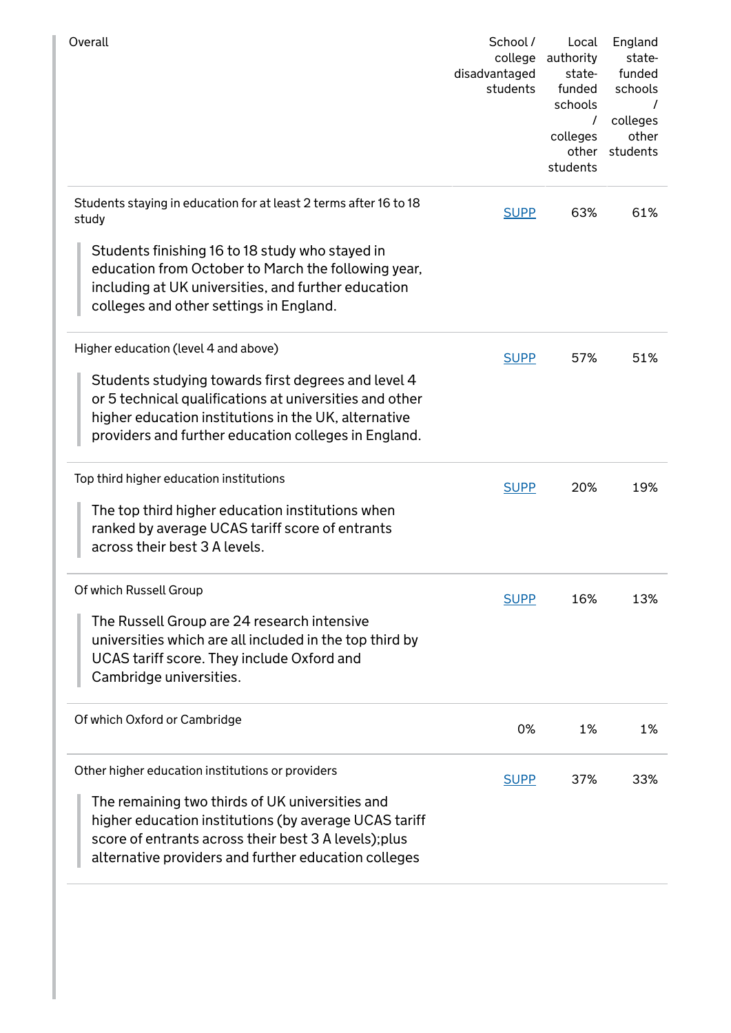| Overall                                                                                                                                                                                                                                                                       | School /<br>college<br>disadvantaged<br>students | Local<br>authority<br>state-<br>funded<br>schools<br>$\prime$<br>colleges<br>other<br>students | England<br>state-<br>funded<br>schools<br>colleges<br>other<br>students |
|-------------------------------------------------------------------------------------------------------------------------------------------------------------------------------------------------------------------------------------------------------------------------------|--------------------------------------------------|------------------------------------------------------------------------------------------------|-------------------------------------------------------------------------|
| Students staying in education for at least 2 terms after 16 to 18<br>study                                                                                                                                                                                                    | <b>SUPP</b>                                      | 63%                                                                                            | 61%                                                                     |
| Students finishing 16 to 18 study who stayed in<br>education from October to March the following year,<br>including at UK universities, and further education<br>colleges and other settings in England.                                                                      |                                                  |                                                                                                |                                                                         |
| Higher education (level 4 and above)                                                                                                                                                                                                                                          | <b>SUPP</b>                                      | 57%                                                                                            | 51%                                                                     |
| Students studying towards first degrees and level 4<br>or 5 technical qualifications at universities and other<br>higher education institutions in the UK, alternative<br>providers and further education colleges in England.                                                |                                                  |                                                                                                |                                                                         |
| Top third higher education institutions                                                                                                                                                                                                                                       | <b>SUPP</b>                                      | 20%                                                                                            | 19%                                                                     |
| The top third higher education institutions when<br>ranked by average UCAS tariff score of entrants<br>across their best 3 A levels.                                                                                                                                          |                                                  |                                                                                                |                                                                         |
| Of which Russell Group                                                                                                                                                                                                                                                        | <b>SUPP</b>                                      | 16%                                                                                            | 13%                                                                     |
| The Russell Group are 24 research intensive<br>universities which are all included in the top third by<br>UCAS tariff score. They include Oxford and<br>Cambridge universities.                                                                                               |                                                  |                                                                                                |                                                                         |
| Of which Oxford or Cambridge                                                                                                                                                                                                                                                  | 0%                                               | 1%                                                                                             | 1%                                                                      |
| Other higher education institutions or providers<br>The remaining two thirds of UK universities and<br>higher education institutions (by average UCAS tariff<br>score of entrants across their best 3 A levels); plus<br>alternative providers and further education colleges | <b>SUPP</b>                                      | 37%                                                                                            | 33%                                                                     |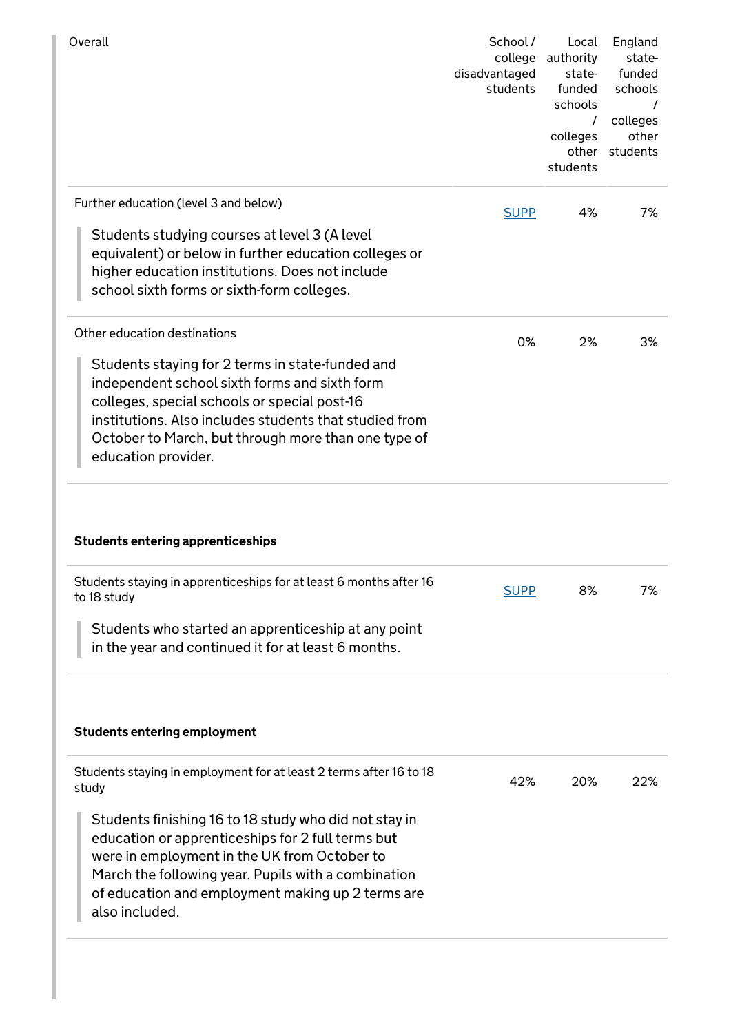|                                                                                                                                                                                                                                                                                                                           | School /<br>college<br>disadvantaged<br>students | Local<br>authority<br>state-<br>funded<br>schools<br>$\prime$<br>colleges<br>students | England<br>state-<br>funded<br>schools<br>colleges<br>other<br>other students |
|---------------------------------------------------------------------------------------------------------------------------------------------------------------------------------------------------------------------------------------------------------------------------------------------------------------------------|--------------------------------------------------|---------------------------------------------------------------------------------------|-------------------------------------------------------------------------------|
| Further education (level 3 and below)<br>Students studying courses at level 3 (A level<br>equivalent) or below in further education colleges or<br>higher education institutions. Does not include<br>school sixth forms or sixth-form colleges.                                                                          | <b>SUPP</b>                                      | 4%                                                                                    | 7%                                                                            |
| Other education destinations<br>Students staying for 2 terms in state-funded and<br>independent school sixth forms and sixth form<br>colleges, special schools or special post-16<br>institutions. Also includes students that studied from<br>October to March, but through more than one type of<br>education provider. | 0%                                               | 2%                                                                                    | 3%                                                                            |
| <b>Students entering apprenticeships</b>                                                                                                                                                                                                                                                                                  |                                                  |                                                                                       |                                                                               |
| Students staying in apprenticeships for at least 6 months after 16<br>to 18 study<br>Students who started an apprenticeship at any point<br>in the year and continued it for at least 6 months.                                                                                                                           | <b>SUPP</b>                                      | 8%                                                                                    | 7%                                                                            |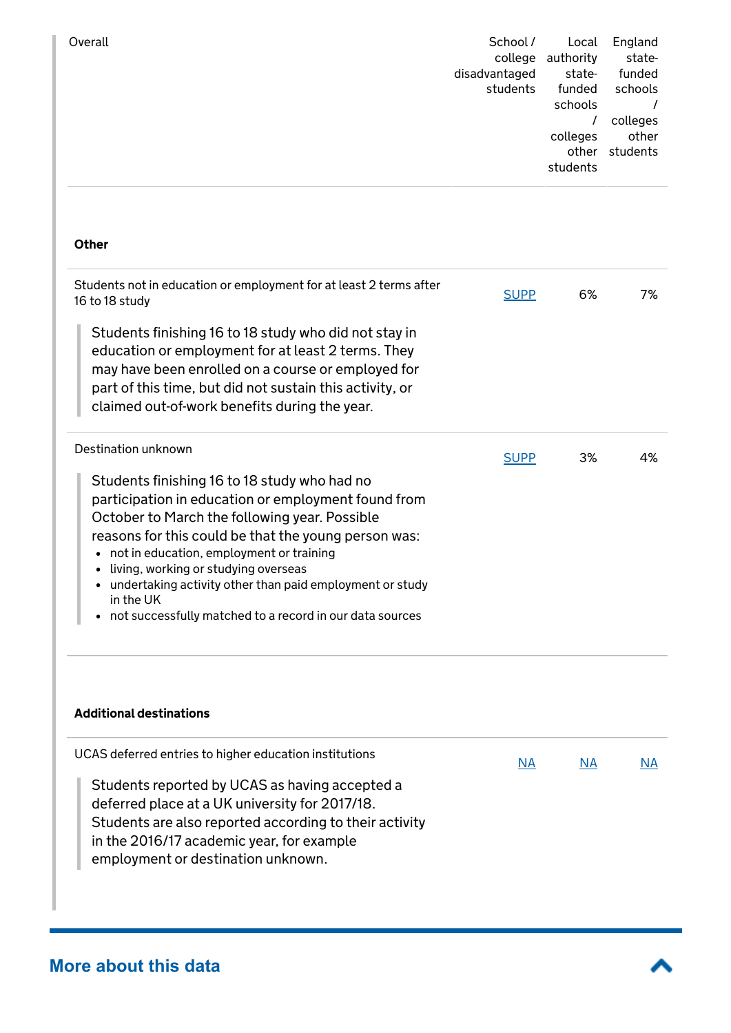| Overall | School /<br>college | Local<br>authority | England<br>state- |
|---------|---------------------|--------------------|-------------------|
|         |                     |                    |                   |
|         | disadvantaged       | state-             | funded            |
|         | students            | funded             | schools           |
|         |                     | schools            |                   |
|         |                     |                    | colleges          |
|         |                     | colleges           | other             |
|         |                     | other              | students          |
|         |                     | students           |                   |
|         |                     |                    |                   |

#### **Other**

| Students not in education or employment for at least 2 terms after<br>16 to 18 study                                                                                                                                                                                                                                                                                                                                                  | <b>SUPP</b> | 6% | 7% |
|---------------------------------------------------------------------------------------------------------------------------------------------------------------------------------------------------------------------------------------------------------------------------------------------------------------------------------------------------------------------------------------------------------------------------------------|-------------|----|----|
| Students finishing 16 to 18 study who did not stay in<br>education or employment for at least 2 terms. They<br>may have been enrolled on a course or employed for<br>part of this time, but did not sustain this activity, or<br>claimed out-of-work benefits during the year.                                                                                                                                                        |             |    |    |
| Destination unknown                                                                                                                                                                                                                                                                                                                                                                                                                   | <b>SUPP</b> | 3% | 4% |
| Students finishing 16 to 18 study who had no<br>participation in education or employment found from<br>October to March the following year. Possible<br>reasons for this could be that the young person was:<br>not in education, employment or training<br>living, working or studying overseas<br>undertaking activity other than paid employment or study<br>in the UK<br>not successfully matched to a record in our data sources |             |    |    |

#### Additional destinations

| UCAS deferred entries to higher education institutions                                                                                                                                                                                        | <b>NA</b> | ΝA | ΝA |
|-----------------------------------------------------------------------------------------------------------------------------------------------------------------------------------------------------------------------------------------------|-----------|----|----|
| Students reported by UCAS as having accepted a<br>deferred place at a UK university for 2017/18.<br>Students are also reported according to their activity<br>in the 2016/17 academic year, for example<br>employment or destination unknown. |           |    |    |